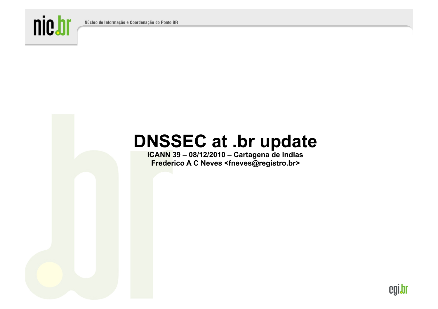Núcleo de Informação e Coordenação do Ponto BR



# **DNSSEC at .br update**

**ICANN 39 – 08/12/2010 – Cartagena de Indias Frederico A C Neves <fneves@registro.br>** 

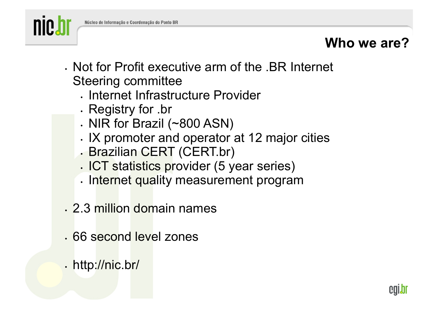

#### **Who we are?**

- Not for Profit executive arm of the .BR Internet Steering committee
	- Internet Infrastructure Provider
	- Registry for .br
	- NIR for Brazil (~800 ASN)
	- IX promoter and operator at 12 major cities
	- Brazilian CERT (CERT.br)
	- ICT statistics provider (5 year series)
	- Internet quality measurement program
- 2.3 million domain names
- 66 second level zones
- http://nic.br/

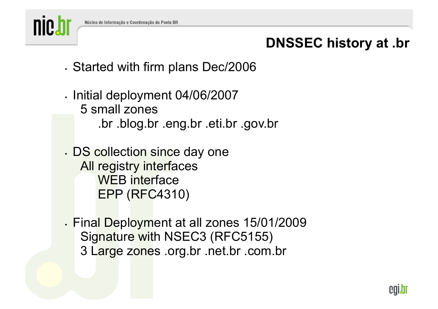

## **DNSSEC history at .br**

- Started with firm plans Dec/2006
- Initial deployment 04/06/2007 5 small zones .br .blog.br .eng.br .eti.br .gov.br
- DS collection since day one All registry interfaces WEB interface EPP (RFC4310)
- Final Deployment at all zones 15/01/2009 Signature with NSEC3 (RFC5155) 3 Large zones .org.br .net.br .com.br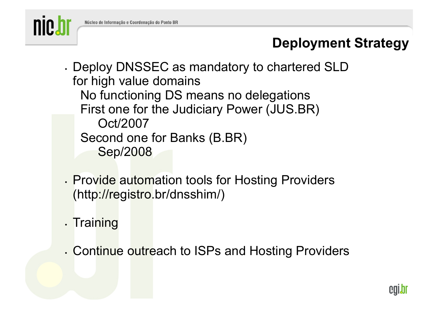

### **Deployment Strategy**

- Deploy DNSSEC as mandatory to chartered SLD for high value domains No functioning DS means no delegations First one for the Judiciary Power (JUS.BR) Oct/2007 Second one for Banks (B.BR) Sep/2008
- Provide automation tools for Hosting Providers (http://registro.br/dnsshim/)
- Training
- Continue outreach to ISPs and Hosting Providers

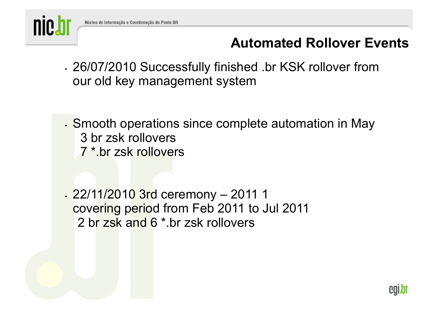

#### **Automated Rollover Events**

- 26/07/2010 Successfully finished .br KSK rollover from our old key management system
- Smooth operations since complete automation in May 3 br zsk rollovers 7 \*.br zsk rollovers

• 22/11/2010 3rd ceremony – 2011 1 covering period from Feb 2011 to Jul 2011 2 br zsk and 6 \*.br zsk rollovers

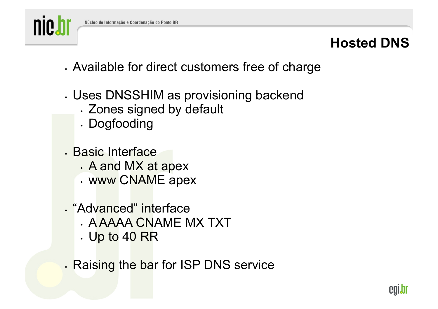

#### **Hosted DNS**

- Available for direct customers free of charge
- Uses DNSSHIM as provisioning backend
	- Zones signed by default
	- Dogfooding
- Basic Interface
	- A and MX at apex
	- www CNAME apex
- "Advanced" interface
	- A AAAA CNAME MX TXT
	- Up to 40 RR
- Raising the bar for ISP DNS service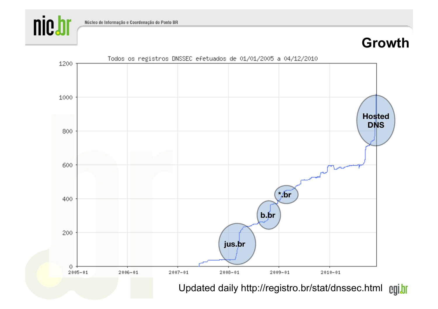

#### **Growth**

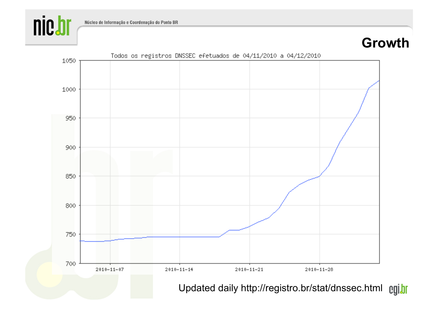

#### **Growth**